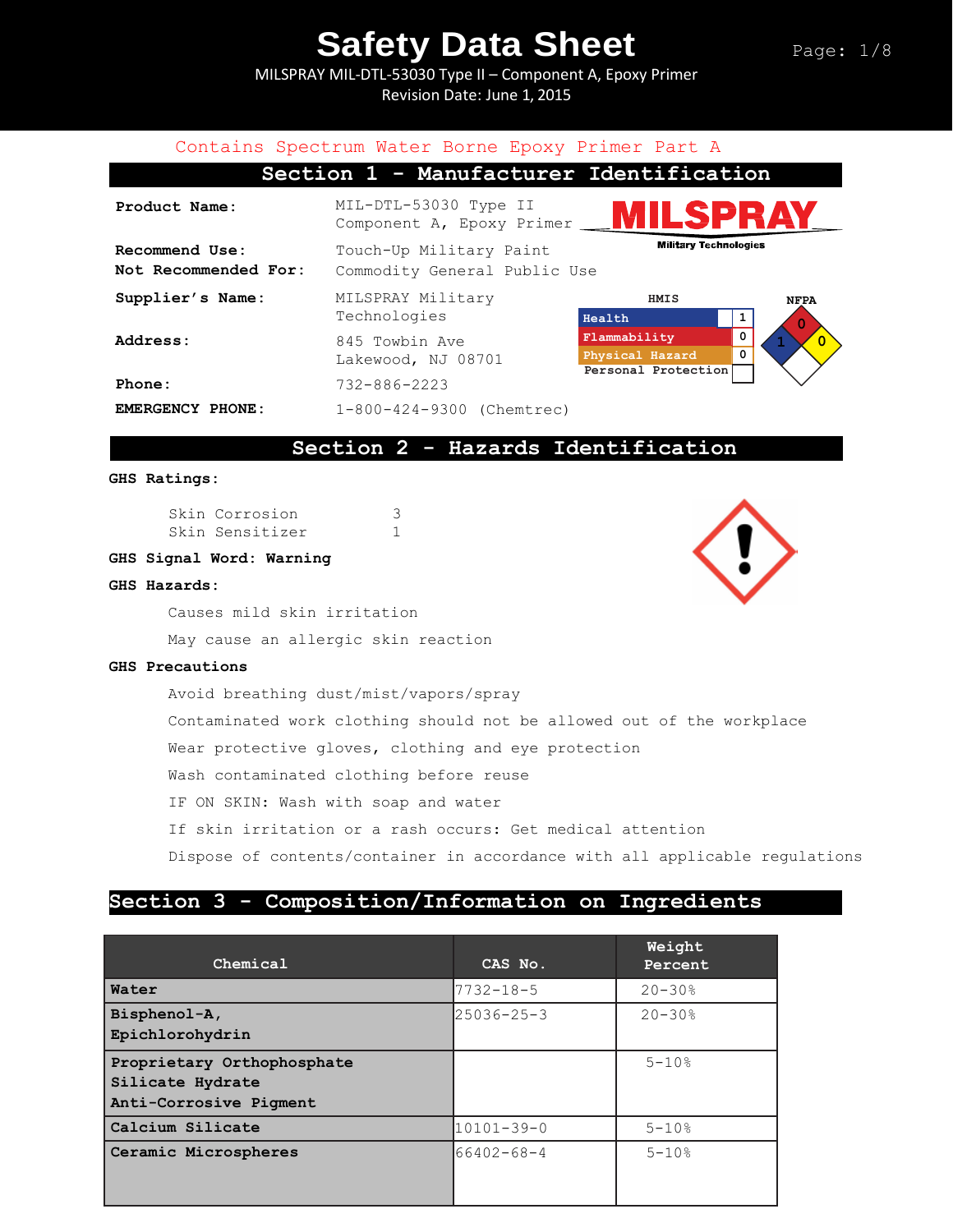MILSPRAY MIL-DTL-53030 Type II – Component A, Epoxy Primer Revision Date: June 1, 2015



## **Section 2 - Hazards Identification**

#### **GHS Ratings:**

Skin Corrosion 3 Skin Sensitizer 1

#### **GHS Signal Word: Warning**

#### **GHS Hazards:**

Causes mild skin irritation

May cause an allergic skin reaction

#### **GHS Precautions**

Avoid breathing dust/mist/vapors/spray Contaminated work clothing should not be allowed out of the workplace Wear protective gloves, clothing and eye protection Wash contaminated clothing before reuse IF ON SKIN: Wash with soap and water If skin irritation or a rash occurs: Get medical attention Dispose of contents/container in accordance with all applicable regulations

### **Section 3 - Composition/Information on Ingredients**

| Chemical                                                                 | CAS No.          | Weight<br>Percent |
|--------------------------------------------------------------------------|------------------|-------------------|
| Water                                                                    | $7732 - 18 - 5$  | $20 - 30%$        |
| Bisphenol-A,<br>Epichlorohydrin                                          | $25036 - 25 - 3$ | $20 - 30$ %       |
| Proprietary Orthophosphate<br>Silicate Hydrate<br>Anti-Corrosive Pigment |                  | $5 - 10$ %        |
| Calcium Silicate                                                         | $10101 - 39 - 0$ | $5 - 10$ %        |
| Ceramic Microspheres                                                     | $66402 - 68 - 4$ | $5 - 10%$         |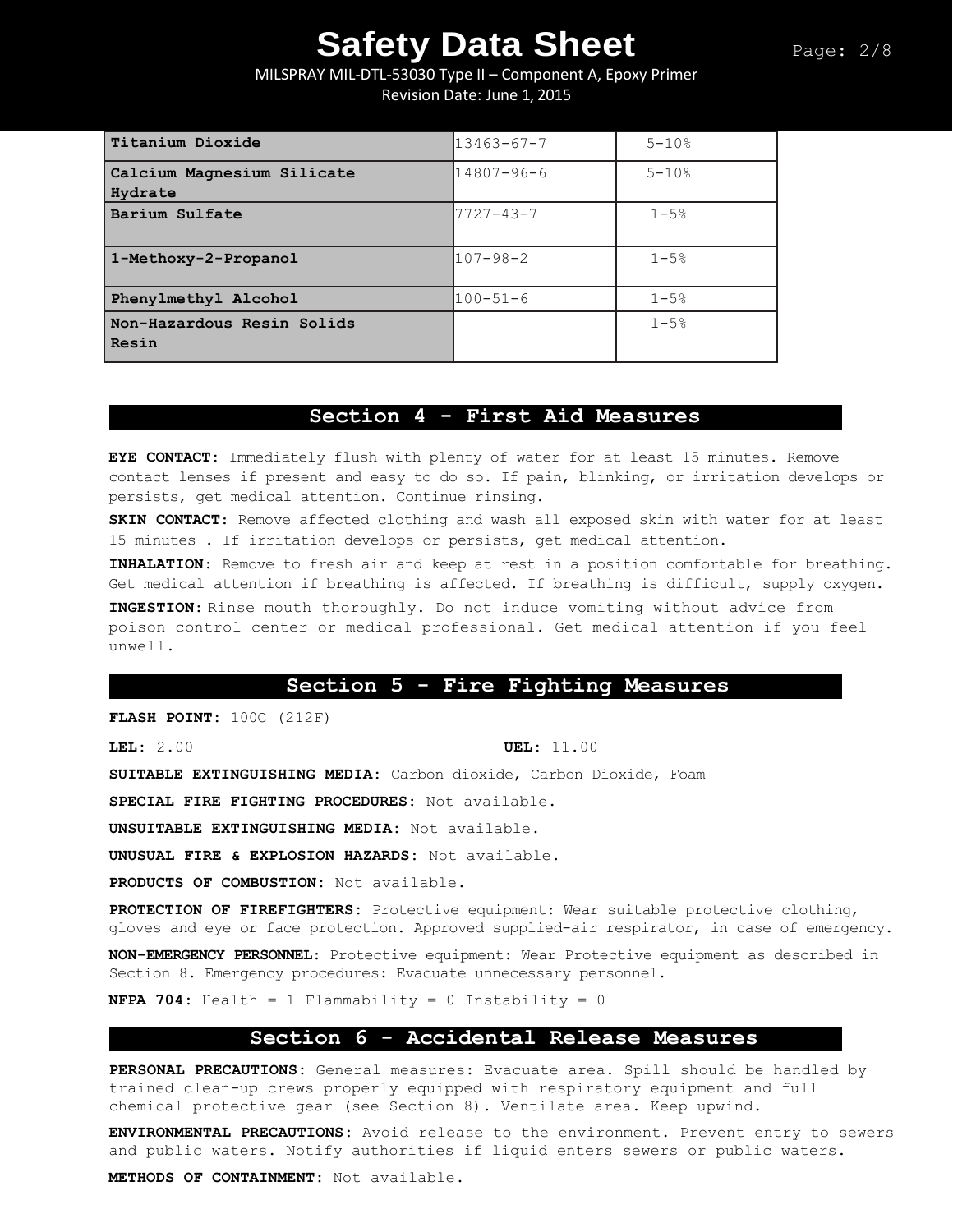MILSPRAY MIL-DTL-53030 Type II – Component A, Epoxy Primer Revision Date: June 1, 2015

| Titanium Dioxide                      | $13463 - 67 - 7$ | $5 - 10%$  |
|---------------------------------------|------------------|------------|
| Calcium Magnesium Silicate<br>Hydrate | $14807 - 96 - 6$ | $5 - 10$ % |
| Barium Sulfate                        | $7727 - 43 - 7$  | $1 - 5%$   |
| 1-Methoxy-2-Propanol                  | $107 - 98 - 2$   | $1 - 5.8$  |
| Phenylmethyl Alcohol                  | $100 - 51 - 6$   | $1 - 5%$   |
| Non-Hazardous Resin Solids<br>Resin   |                  | $1 - 5%$   |

### **Section 4 - First Aid Measures**

**EYE CONTACT:** Immediately flush with plenty of water for at least 15 minutes. Remove contact lenses if present and easy to do so. If pain, blinking, or irritation develops or persists, get medical attention. Continue rinsing.

**SKIN CONTACT**: Remove affected clothing and wash all exposed skin with water for at least 15 minutes . If irritation develops or persists, get medical attention.

**INHALATION**: Remove to fresh air and keep at rest in a position comfortable for breathing. Get medical attention if breathing is affected. If breathing is difficult, supply oxygen.

**INGESTION**: Rinse mouth thoroughly. Do not induce vomiting without advice from poison control center or medical professional. Get medical attention if you feel unwell.

### **Section 5 - Fire Fighting Measures**

**FLASH POINT:** 100C (212F)

**LEL:** 2.00 **UEL:** 11.00

**SUITABLE EXTINGUISHING MEDIA:** Carbon dioxide, Carbon Dioxide, Foam

**SPECIAL FIRE FIGHTING PROCEDURES:** Not available.

**UNSUITABLE EXTINGUISHING MEDIA:** Not available.

**UNUSUAL FIRE & EXPLOSION HAZARDS:** Not available.

**PRODUCTS OF COMBUSTION:** Not available.

**PROTECTION OF FIREFIGHTERS:** Protective equipment: Wear suitable protective clothing, gloves and eye or face protection. Approved supplied-air respirator, in case of emergency.

**NON-EMERGENCY PERSONNEL**: Protective equipment: Wear Protective equipment as described in Section 8. Emergency procedures: Evacuate unnecessary personnel.

**NFPA 704:** Health = 1 Flammability = 0 Instability = 0

### **Section 6 - Accidental Release Measures**

**PERSONAL PRECAUTIONS:** General measures: Evacuate area. Spill should be handled by trained clean-up crews properly equipped with respiratory equipment and full chemical protective gear (see Section 8). Ventilate area. Keep upwind.

**ENVIRONMENTAL PRECAUTIONS:** Avoid release to the environment. Prevent entry to sewers and public waters. Notify authorities if liquid enters sewers or public waters.

**METHODS OF CONTAINMENT:** Not available.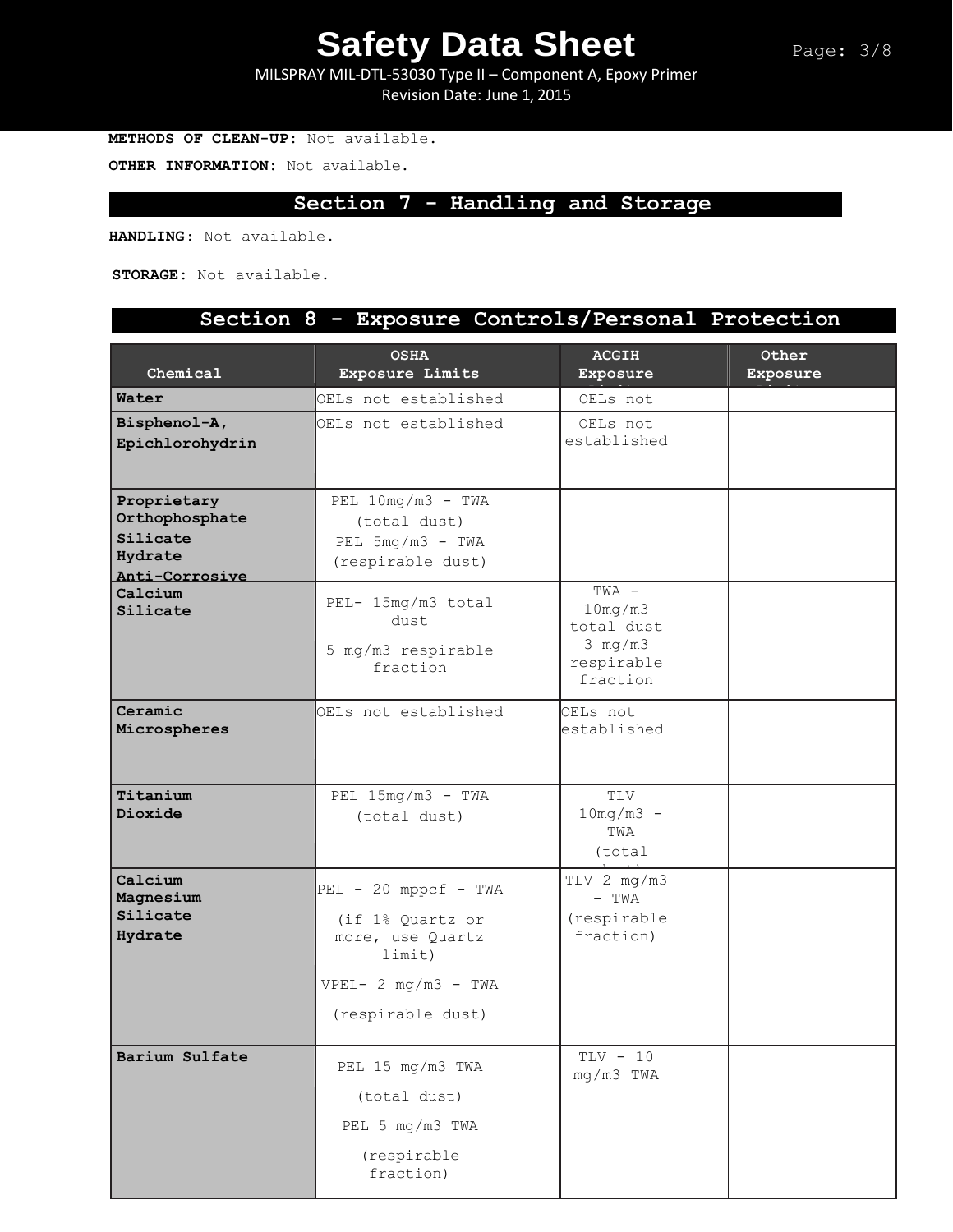Page: 3/8

MILSPRAY MIL-DTL-53030 Type II – Component A, Epoxy Primer Revision Date: June 1, 2015

**METHODS OF CLEAN-UP:** Not available.

**OTHER INFORMATION:** Not available.

## **Section 7 - Handling and Storage**

**HANDLING**: Not available.

**STORAGE:** Not available.

## **Section 8 - Exposure Controls/Personal Protection**

| Chemical                                                               | <b>OSHA</b><br>Exposure Limits                                                                                          | <b>ACGIH</b><br>Exposure                                                             | Other<br>Exposure |
|------------------------------------------------------------------------|-------------------------------------------------------------------------------------------------------------------------|--------------------------------------------------------------------------------------|-------------------|
| Water                                                                  | OELs not established                                                                                                    | OELs not                                                                             |                   |
| Bisphenol-A,<br>Epichlorohydrin                                        | OELs not established                                                                                                    | OELs not<br>established                                                              |                   |
| Proprietary<br>Orthophosphate<br>Silicate<br>Hydrate<br>Anti-Corrosive | PEL $10mg/m3$ - TWA<br>(total dust)<br>PEL $5mg/m3$ - TWA<br>(respirable dust)                                          |                                                                                      |                   |
| Calcium<br>Silicate                                                    | PEL- 15mg/m3 total<br>dust<br>5 mg/m3 respirable<br>fraction                                                            | TWA -<br>10mg/m3<br>total dust<br>$3 \text{ mg}/\text{m}3$<br>respirable<br>fraction |                   |
| Ceramic<br>Microspheres                                                | OELs not established                                                                                                    | OELs not<br>established                                                              |                   |
| Titanium<br>Dioxide                                                    | PEL $15mg/m3$ - TWA<br>(total dust)                                                                                     | TLV<br>$10mg/m3 -$<br>TWA<br>(total                                                  |                   |
| Calcium<br>Magnesium<br>Silicate<br>Hydrate                            | $PEL - 20$ mppcf - TWA<br>(if 1% Quartz or<br>more, use Quartz<br>limit)<br>$VPEL - 2 mg/m3 - TWA$<br>(respirable dust) | TLV 2 mg/m3<br>$-$ TWA<br>(respirable<br>fraction)                                   |                   |
| Barium Sulfate                                                         | PEL 15 mg/m3 TWA<br>(total dust)<br>PEL 5 mg/m3 TWA<br>(respirable<br>fraction)                                         | $TLV - 10$<br>mg/m3 TWA                                                              |                   |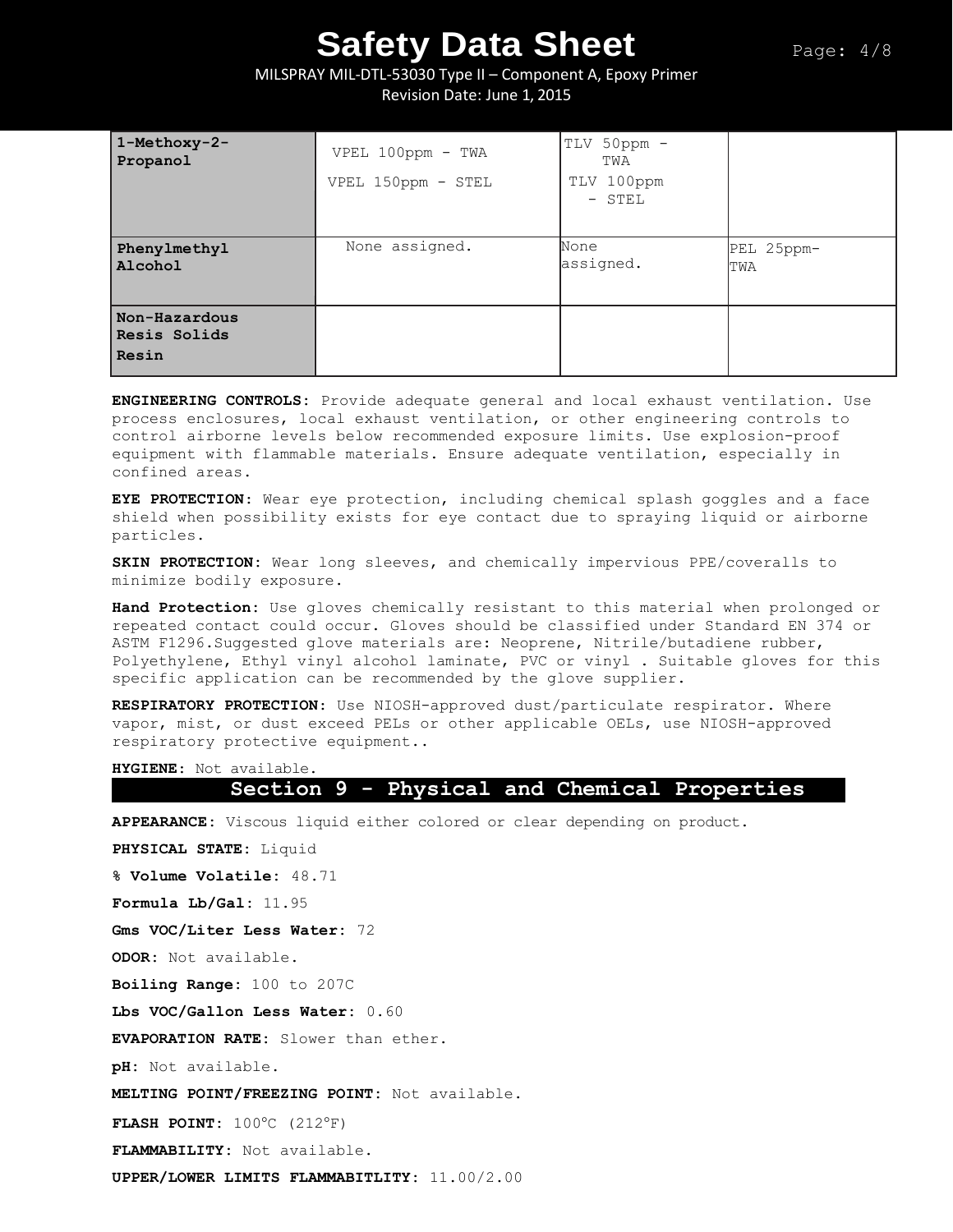### MILSPRAY MIL-DTL-53030 Type II – Component A, Epoxy Primer Revision Date: June 1, 2015

| 1-Methoxy-2-<br>Propanol               | VPEL 100ppm - TWA<br>VPEL 150ppm - STEL | TLV 50ppm -<br>TWA<br>TLV 100ppm<br>$-$ STEL |                   |
|----------------------------------------|-----------------------------------------|----------------------------------------------|-------------------|
| Phenylmethyl<br>Alcohol                | None assigned.                          | None<br>assigned.                            | PEL 25ppm-<br>TWA |
| Non-Hazardous<br>Resis Solids<br>Resin |                                         |                                              |                   |

**ENGINEERING CONTROLS:** Provide adequate general and local exhaust ventilation. Use process enclosures, local exhaust ventilation, or other engineering controls to control airborne levels below recommended exposure limits. Use explosion-proof equipment with flammable materials. Ensure adequate ventilation, especially in confined areas.

**EYE PROTECTION**: Wear eye protection, including chemical splash goggles and a face shield when possibility exists for eye contact due to spraying liquid or airborne particles.

**SKIN PROTECTION:** Wear long sleeves, and chemically impervious PPE/coveralls to minimize bodily exposure.

**Hand Protection:** Use gloves chemically resistant to this material when prolonged or repeated contact could occur. Gloves should be classified under Standard EN 374 or ASTM F1296.Suggested glove materials are: Neoprene, Nitrile/butadiene rubber, Polyethylene, Ethyl vinyl alcohol laminate, PVC or vinyl . Suitable gloves for this specific application can be recommended by the glove supplier.

**RESPIRATORY PROTECTION**: Use NIOSH-approved dust/particulate respirator. Where vapor, mist, or dust exceed PELs or other applicable OELs, use NIOSH-approved respiratory protective equipment..

**HYGIENE**: Not available.

### **Section 9 - Physical and Chemical Properties**

**APPEARANCE:** Viscous liquid either colored or clear depending on product.

**PHYSICAL STATE:** Liquid

**% Volume Volatile:** 48.71

**Formula Lb/Gal:** 11.95

**Gms VOC/Liter Less Water:** 72

**ODOR:** Not available.

**Boiling Range:** 100 to 207C

**Lbs VOC/Gallon Less Water:** 0.60

**EVAPORATION RATE:** Slower than ether.

**pH:** Not available.

**MELTING POINT/FREEZING POINT:** Not available.

**FLASH POINT:** 100°C (212°F)

**FLAMMABILITY:** Not available.

**UPPER/LOWER LIMITS FLAMMABITLITY:** 11.00/2.00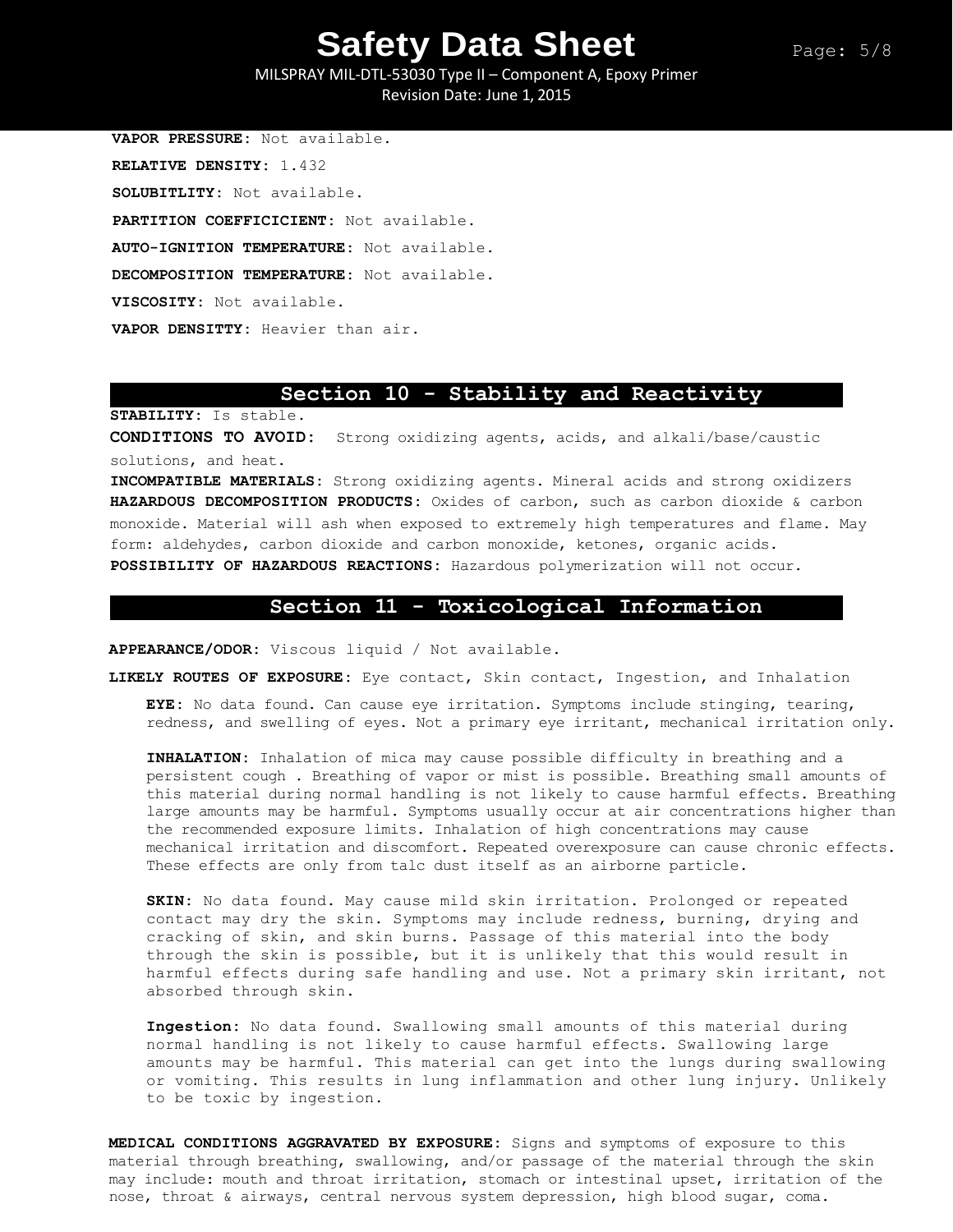Page: 5/8

MILSPRAY MIL-DTL-53030 Type II – Component A, Epoxy Primer Revision Date: June 1, 2015

**VAPOR PRESSURE:** Not available. **RELATIVE DENSITY:** 1.432 **SOLUBITLITY:** Not available. **PARTITION COEFFICICIENT:** Not available. **AUTO-IGNITION TEMPERATURE:** Not available. **DECOMPOSITION TEMPERATURE:** Not available. **VISCOSITY:** Not available. **VAPOR DENSITTY:** Heavier than air.

### **Section 10 - Stability and Reactivity**

**STABILITY:** Is stable.

**CONDITIONS TO AVOID:** Strong oxidizing agents, acids, and alkali/base/caustic solutions, and heat.

**INCOMPATIBLE MATERIALS:** Strong oxidizing agents. Mineral acids and strong oxidizers **HAZARDOUS DECOMPOSITION PRODUCTS:** Oxides of carbon, such as carbon dioxide & carbon monoxide. Material will ash when exposed to extremely high temperatures and flame. May form: aldehydes, carbon dioxide and carbon monoxide, ketones, organic acids. **POSSIBILITY OF HAZARDOUS REACTIONS:** Hazardous polymerization will not occur.

### **Section 11 - Toxicological Information**

**APPEARANCE/ODOR:** Viscous liquid / Not available.

**LIKELY ROUTES OF EXPOSURE:** Eye contact, Skin contact, Ingestion, and Inhalation

**EYE:** No data found. Can cause eye irritation. Symptoms include stinging, tearing, redness, and swelling of eyes. Not a primary eye irritant, mechanical irritation only.

**INHALATION:** Inhalation of mica may cause possible difficulty in breathing and a persistent cough . Breathing of vapor or mist is possible. Breathing small amounts of this material during normal handling is not likely to cause harmful effects. Breathing large amounts may be harmful. Symptoms usually occur at air concentrations higher than the recommended exposure limits. Inhalation of high concentrations may cause mechanical irritation and discomfort. Repeated overexposure can cause chronic effects. These effects are only from talc dust itself as an airborne particle.

**SKIN:** No data found. May cause mild skin irritation. Prolonged or repeated contact may dry the skin. Symptoms may include redness, burning, drying and cracking of skin, and skin burns. Passage of this material into the body through the skin is possible, but it is unlikely that this would result in harmful effects during safe handling and use. Not a primary skin irritant, not absorbed through skin.

**Ingestion:** No data found. Swallowing small amounts of this material during normal handling is not likely to cause harmful effects. Swallowing large amounts may be harmful. This material can get into the lungs during swallowing or vomiting. This results in lung inflammation and other lung injury. Unlikely to be toxic by ingestion.

**MEDICAL CONDITIONS AGGRAVATED BY EXPOSURE:** Signs and symptoms of exposure to this material through breathing, swallowing, and/or passage of the material through the skin may include: mouth and throat irritation, stomach or intestinal upset, irritation of the nose, throat & airways, central nervous system depression, high blood sugar, coma.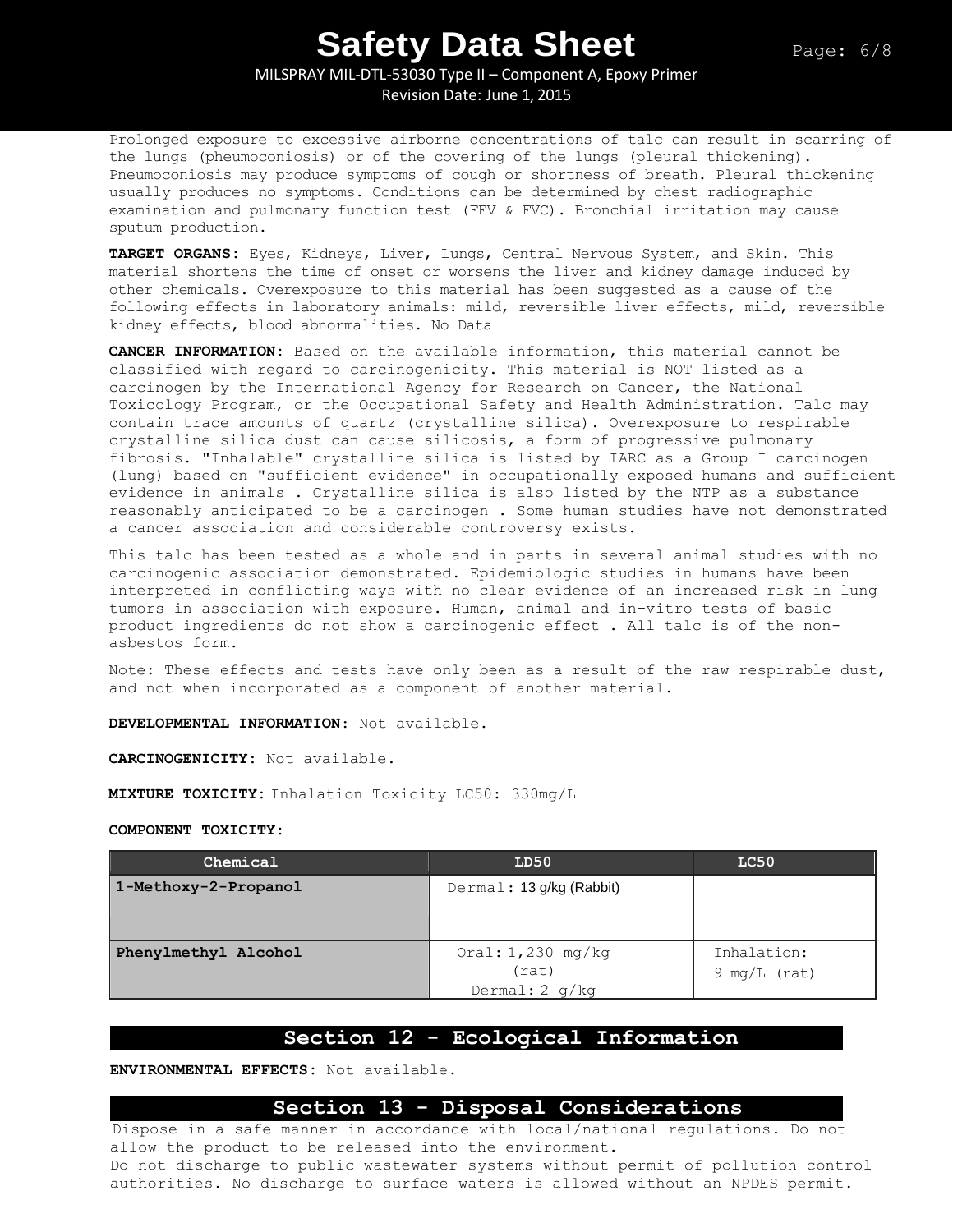MILSPRAY MIL-DTL-53030 Type II – Component A, Epoxy Primer Revision Date: June 1, 2015

Prolonged exposure to excessive airborne concentrations of talc can result in scarring of the lungs (pheumoconiosis) or of the covering of the lungs (pleural thickening). Pneumoconiosis may produce symptoms of cough or shortness of breath. Pleural thickening usually produces no symptoms. Conditions can be determined by chest radiographic examination and pulmonary function test (FEV & FVC). Bronchial irritation may cause sputum production.

**TARGET ORGANS:** Eyes, Kidneys, Liver, Lungs, Central Nervous System, and Skin. This material shortens the time of onset or worsens the liver and kidney damage induced by other chemicals. Overexposure to this material has been suggested as a cause of the following effects in laboratory animals: mild, reversible liver effects, mild, reversible kidney effects, blood abnormalities. No Data

**CANCER INFORMATION:** Based on the available information, this material cannot be classified with regard to carcinogenicity. This material is NOT listed as a carcinogen by the International Agency for Research on Cancer, the National Toxicology Program, or the Occupational Safety and Health Administration. Talc may contain trace amounts of quartz (crystalline silica). Overexposure to respirable crystalline silica dust can cause silicosis, a form of progressive pulmonary fibrosis. "Inhalable" crystalline silica is listed by IARC as a Group I carcinogen (lung) based on "sufficient evidence" in occupationally exposed humans and sufficient evidence in animals . Crystalline silica is also listed by the NTP as a substance reasonably anticipated to be a carcinogen . Some human studies have not demonstrated a cancer association and considerable controversy exists.

This talc has been tested as a whole and in parts in several animal studies with no carcinogenic association demonstrated. Epidemiologic studies in humans have been interpreted in conflicting ways with no clear evidence of an increased risk in lung tumors in association with exposure. Human, animal and in-vitro tests of basic product ingredients do not show a carcinogenic effect . All talc is of the nonasbestos form.

Note: These effects and tests have only been as a result of the raw respirable dust, and not when incorporated as a component of another material.

**DEVELOPMENTAL INFORMATION**: Not available.

**CARCINOGENICITY:** Not available.

**MIXTURE TOXICITY:** Inhalation Toxicity LC50: 330mg/L

#### **COMPONENT TOXICITY:**

| Chemical             | LD50                                             | LC50                          |
|----------------------|--------------------------------------------------|-------------------------------|
| 1-Methoxy-2-Propanol | Dermal: 13 g/kg (Rabbit)                         |                               |
| Phenylmethyl Alcohol | Oral: $1,230$ mg/kg<br>(rat)<br>Dermal: $2 q/kg$ | Inhalation:<br>$9 mg/L$ (rat) |

### **Section 12 - Ecological Information**

**ENVIRONMENTAL EFFECTS:** Not available.

## **Section 13 - Disposal Considerations**

Dispose in a safe manner in accordance with local/national regulations. Do not allow the product to be released into the environment. Do not discharge to public wastewater systems without permit of pollution control authorities. No discharge to surface waters is allowed without an NPDES permit.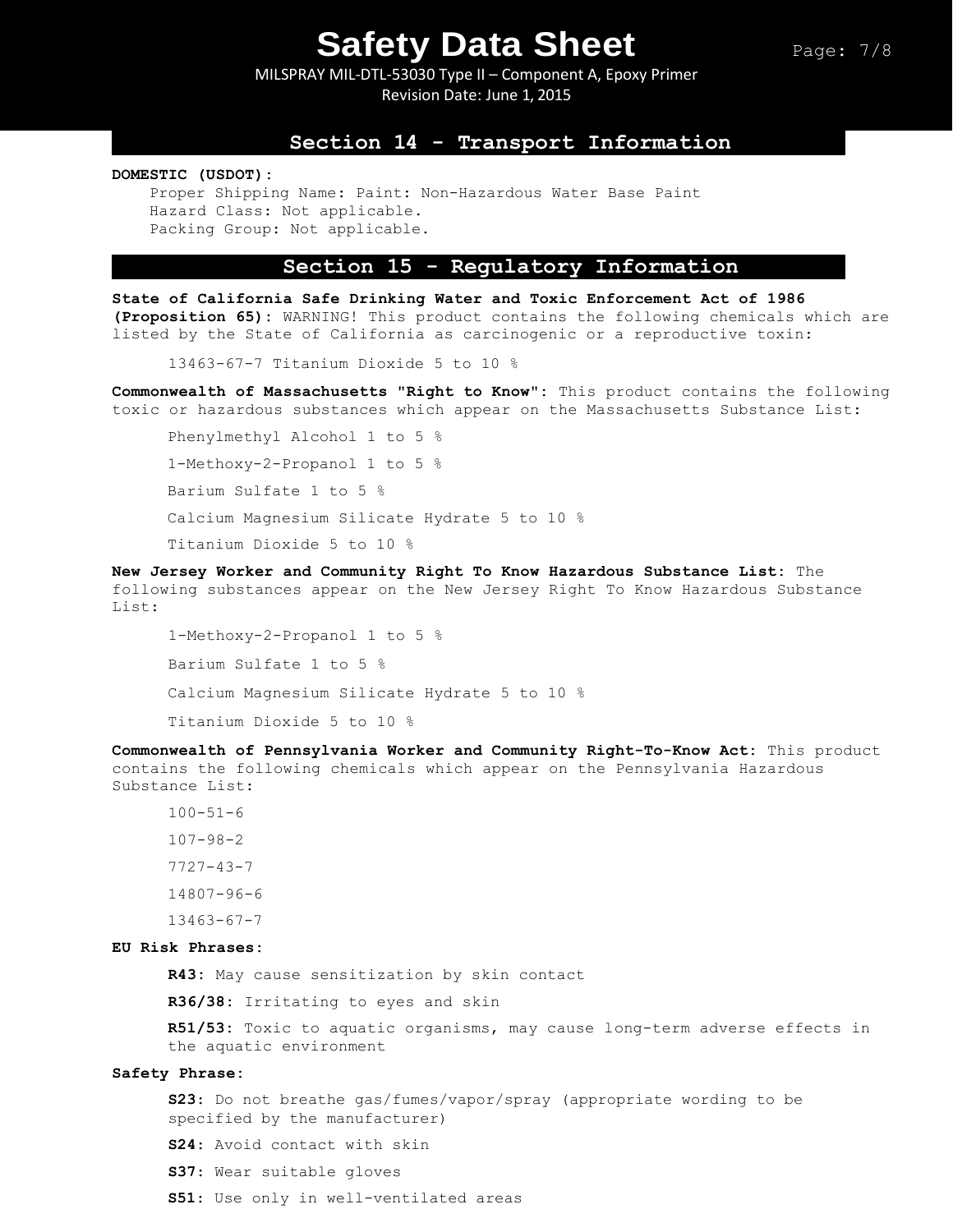MILSPRAY MIL-DTL-53030 Type II – Component A, Epoxy Primer Revision Date: June 1, 2015

### **Section 14 - Transport Information**

**DOMESTIC (USDOT):**

Proper Shipping Name: Paint: Non-Hazardous Water Base Paint Hazard Class: Not applicable. Packing Group: Not applicable.

## **Section 15 - Regulatory Information**

**State of California Safe Drinking Water and Toxic Enforcement Act of 1986 (Proposition 65):** WARNING! This product contains the following chemicals which are listed by the State of California as carcinogenic or a reproductive toxin:

13463-67-7 Titanium Dioxide 5 to 10 %

**Commonwealth of Massachusetts "Right to Know":** This product contains the following toxic or hazardous substances which appear on the Massachusetts Substance List:

Phenylmethyl Alcohol 1 to 5 % 1-Methoxy-2-Propanol 1 to 5 % Barium Sulfate 1 to 5 % Calcium Magnesium Silicate Hydrate 5 to 10 % Titanium Dioxide 5 to 10 %

**New Jersey Worker and Community Right To Know Hazardous Substance List:** The following substances appear on the New Jersey Right To Know Hazardous Substance List:

1-Methoxy-2-Propanol 1 to 5 % Barium Sulfate 1 to 5 % Calcium Magnesium Silicate Hydrate 5 to 10 % Titanium Dioxide 5 to 10 %

**Commonwealth of Pennsylvania Worker and Community Right-To-Know Act:** This product contains the following chemicals which appear on the Pennsylvania Hazardous Substance List:

```
100 - 51 - 6107-98-2
7727-43-7
14807-96-6
13463-67-7
```
#### **EU Risk Phrases:**

**R43:** May cause sensitization by skin contact

**R36/38:** Irritating to eyes and skin

**R51/53:** Toxic to aquatic organisms, may cause long-term adverse effects in the aquatic environment

#### **Safety Phrase:**

**S23**: Do not breathe gas/fumes/vapor/spray (appropriate wording to be specified by the manufacturer)

**S24**: Avoid contact with skin

**S37**: Wear suitable gloves

**S51**: Use only in well-ventilated areas